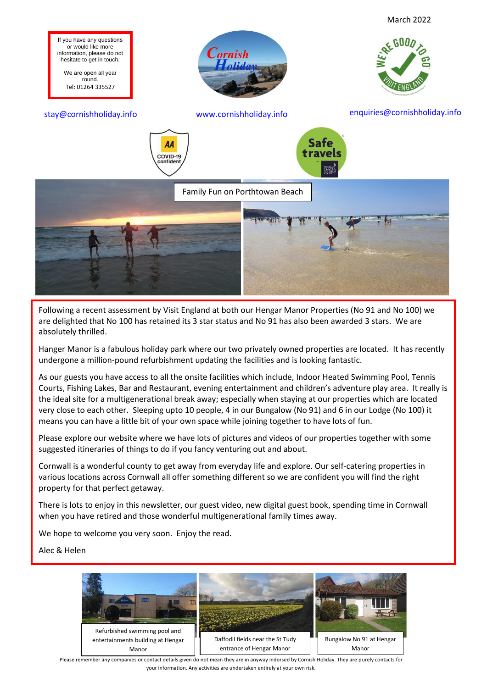

Following a recent assessment by Visit England at both our Hengar Manor Properties (No 91 and No 100) we are delighted that No 100 has retained its 3 star status and No 91 has also been awarded 3 stars. We are absolutely thrilled.

Hanger Manor is a fabulous holiday park where our two privately owned properties are located. It has recently undergone a million-pound refurbishment updating the facilities and is looking fantastic.

As our guests you have access to all the onsite facilities which include, Indoor Heated Swimming Pool, Tennis Courts, Fishing Lakes, Bar and Restaurant, evening entertainment and children's adventure play area. It really is the ideal site for a multigenerational break away; especially when staying at our properties which are located very close to each other. Sleeping upto 10 people, 4 in our Bungalow (No 91) and 6 in our Lodge (No 100) it means you can have a little bit of your own space while joining together to have lots of fun.

Please explore our website where we have lots of pictures and videos of our properties together with some suggested itineraries of things to do if you fancy venturing out and about.

Cornwall is a wonderful county to get away from everyday life and explore. Our self-catering properties in various locations across Cornwall all offer something different so we are confident you will find the right property for that perfect getaway.

There is lots to enjoy in this newsletter, our guest video, new digital guest book, spending time in Cornwall when you have retired and those wonderful multigenerational family times away.

We hope to welcome you very soon. Enjoy the read.

Alec & Helen



Please remember any companies or contact details given do not mean they are in anyway indorsed by Cornish Holiday. They are purely contacts for your information. Any activities are undertaken entirely at your own risk.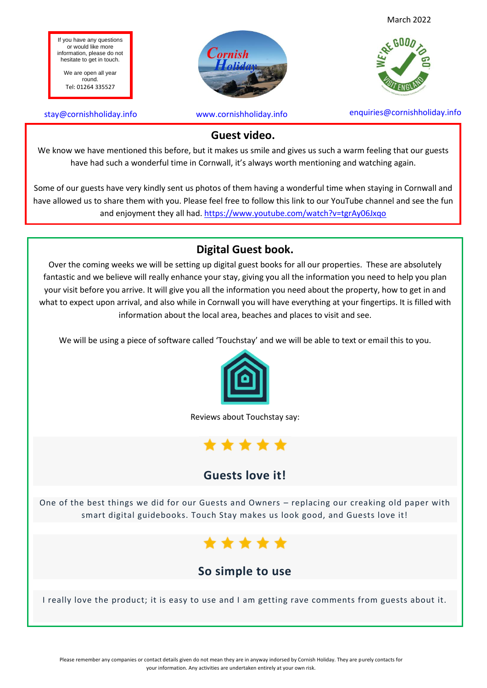If you have any questions or would like more information, please do not hesitate to get in touch.

We are open all year round. Tel: 01264 335527



stay@cornishholiday.info www.cornishholiday.info enquiries@cornishholiday.info

#### **Guest video.**

We know we have mentioned this before, but it makes us smile and gives us such a warm feeling that our guests have had such a wonderful time in Cornwall, it's always worth mentioning and watching again.

Some of our guests have very kindly sent us photos of them having a wonderful time when staying in Cornwall and have allowed us to share them with you. Please feel free to follow this link to our YouTube channel and see the fun and enjoyment they all had.<https://www.youtube.com/watch?v=tgrAy06Jxqo>

### **Digital Guest book.**

Over the coming weeks we will be setting up digital guest books for all our properties. These are absolutely fantastic and we believe will really enhance your stay, giving you all the information you need to help you plan your visit before you arrive. It will give you all the information you need about the property, how to get in and what to expect upon arrival, and also while in Cornwall you will have everything at your fingertips. It is filled with information about the local area, beaches and places to visit and see.

We will be using a piece of software called 'Touchstay' and we will be able to text or email this to you.



Reviews about Touchstay say:



## **Guests love it!**

One of the best things we did for our Guests and Owners – replacing our creaking old paper with smart digital guidebooks. Touch Stay makes us look good, and Guests love it!



# **So simple to use**

I really love the product; it is easy to use and I am getting rave comments from guests about it.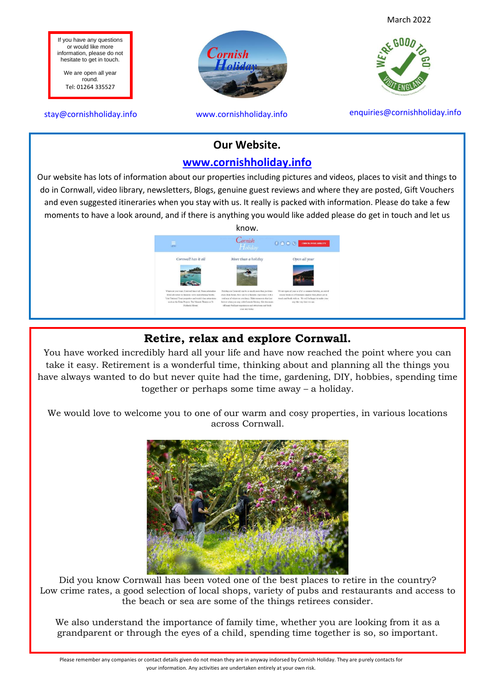

#### **Our Website.**

#### **[www.cornishholiday.info](http://www.cornishholiday.info/)**

Our website has lots of information about our properties including pictures and videos, places to visit and things to do in Cornwall, video library, newsletters, Blogs, genuine guest reviews and where they are posted, Gift Vouchers and even suggested itineraries when you stay with us. It really is packed with information. Please do take a few moments to have a look around, and if there is anything you would like added please do get in touch and let us



#### **Retire, relax and explore Cornwall.**

You have worked incredibly hard all your life and have now reached the point where you can take it easy. Retirement is a wonderful time, thinking about and planning all the things you have always wanted to do but never quite had the time, gardening, DIY, hobbies, spending time together or perhaps some time away – a holiday.

We would love to welcome you to one of our warm and cosy properties, in various locations across Cornwall.



Did you know Cornwall has been voted one of the best places to retire in the country? Low crime rates, a good selection of local shops, variety of pubs and restaurants and access to the beach or sea are some of the things retirees consider.

We also understand the importance of family time, whether you are looking from it as a grandparent or through the eyes of a child, spending time together is so, so important.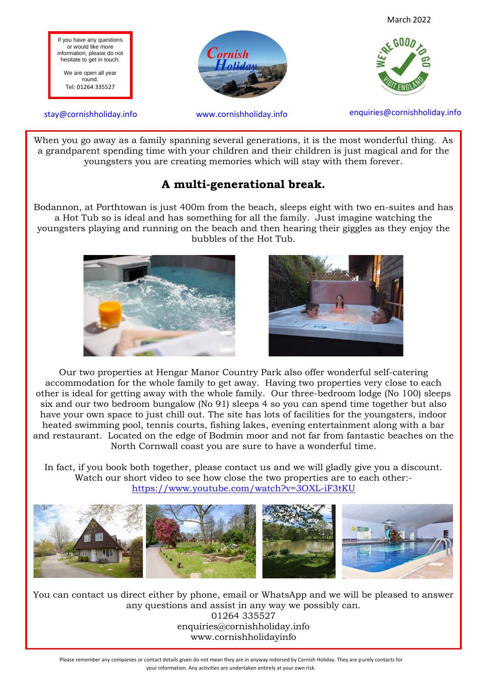



 When you go away as a family spanning several generations, it is the most wonderful thing. As a grandparent spending time with your children and their children is just magical and for the youngsters you are creating memories which will stay with them forever.

### **A multi-generational break.**

Bodannon, at Porthtowan is just 400m from the beach, sleeps eight with two en-suites and has a Hot Tub so is ideal and has something for all the family. Just imagine watching the youngsters playing and running on the beach and then hearing their giggles as they enjoy the bubbles of the Hot Tub.





Our two properties at Hengar Manor Country Park also offer wonderful self-catering accommodation for the whole family to get away. Having two properties very close to each other is ideal for getting away with the whole family. Our three-bedroom lodge (No 100) sleeps six and our two bedroom bungalow (No 91) sleeps 4 so you can spend time together but also have your own space to just chill out. The site has lots of facilities for the youngsters, indoor heated swimming pool, tennis courts, fishing lakes, evening entertainment along with a bar and restaurant. Located on the edge of Bodmin moor and not far from fantastic beaches on the North Cornwall coast you are sure to have a wonderful time.

In fact, if you book both together, please contact us and we will gladly give you a discount. Watch our short video to see how close the two properties are to each other: <https://www.youtube.com/watch?v=3OXL-iF3tKU>



You can contact us direct either by phone, email or WhatsApp and we will be pleased to answer any questions and assist in any way we possibly can. 01264 335527 enquiries@cornishholiday.info www.cornishholidayinfo

Please remember any companies or contact details given do not mean they are in anyway indorsed by Cornish Holiday. They are purely contacts for your information. Any activities are undertaken entirely at your own risk.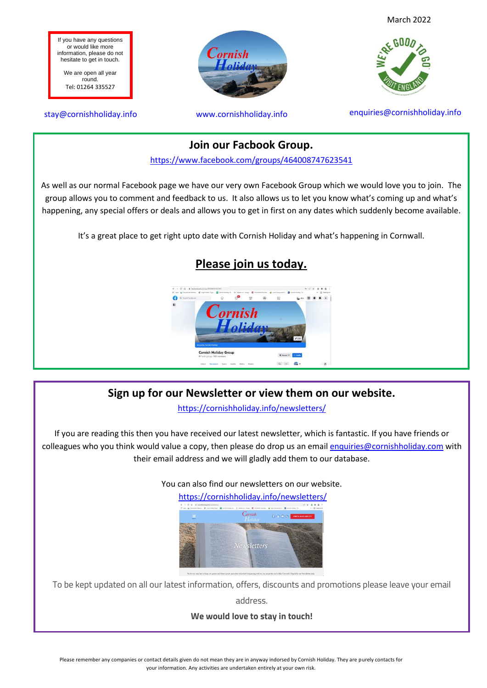

It's a great place to get right upto date with Cornish Holiday and what's happening in Cornwall.

happening, any special offers or deals and allows you to get in first on any dates which suddenly become available.

# **Please join us today.**



## **Sign up for our Newsletter or view them on our website.**

<https://cornishholiday.info/newsletters/>

If you are reading this then you have received our latest newsletter, which is fantastic. If you have friends or colleagues who you think would value a copy, then please do drop us an emai[l enquiries@cornishholiday.com](mailto:enquiries@cornishholiday.com) with their email address and we will gladly add them to our database.

You can also find our newsletters on our website.



To be kept updated on all our latest information, offers, discounts and promotions please leave your email

address.

**We would love to stay in touch!**